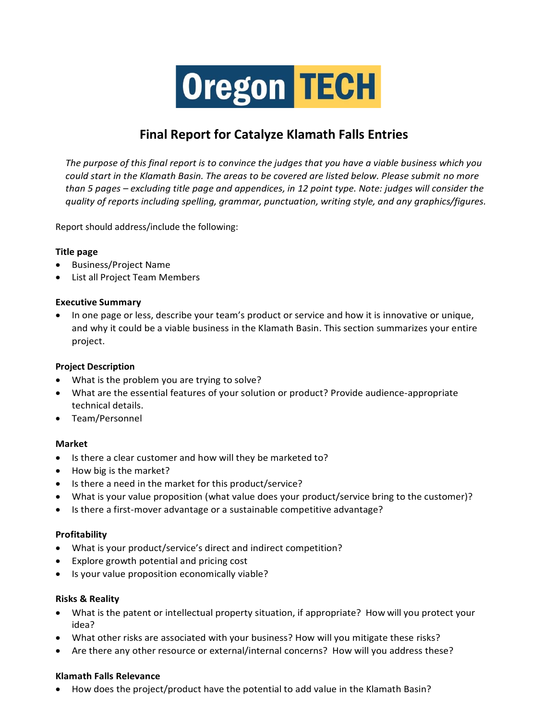# **Oregon TECH**

# **Final Report for Catalyze Klamath Falls Entries**

*The purpose of this final report is to convince the judges that you have a viable business which you could start in the Klamath Basin. The areas to be covered are listed below. Please submit no more than 5 pages – excluding title page and appendices, in 12 point type. Note: judges will consider the quality of reports including spelling, grammar, punctuation, writing style, and any graphics/figures.*

Report should address/include the following:

#### **Title page**

- Business/Project Name
- List all Project Team Members

#### **Executive Summary**

• In one page or less, describe your team's product or service and how it is innovative or unique, and why it could be a viable business in the Klamath Basin. This section summarizes your entire project.

## **Project Description**

- What is the problem you are trying to solve?
- What are the essential features of your solution or product? Provide audience-appropriate technical details.
- Team/Personnel

#### **Market**

- Is there a clear customer and how will they be marketed to?
- How big is the market?
- Is there a need in the market for this product/service?
- What is your value proposition (what value does your product/service bring to the customer)?
- Is there a first-mover advantage or a sustainable competitive advantage?

## **Profitability**

- What is your product/service's direct and indirect competition?
- Explore growth potential and pricing cost
- Is your value proposition economically viable?

#### **Risks & Reality**

- What is the patent or intellectual property situation, if appropriate? How will you protect your idea?
- What other risks are associated with your business? How will you mitigate these risks?
- Are there any other resource or external/internal concerns? How will you address these?

#### **Klamath Falls Relevance**

• How does the project/product have the potential to add value in the Klamath Basin?